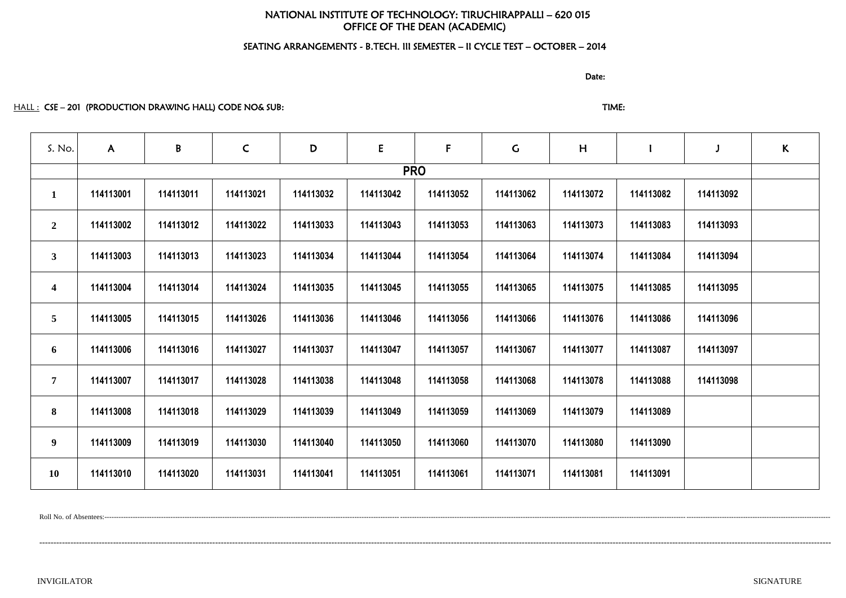# NATIONAL INSTITUTE OF TECHNOLOGY: TIRUCHIRAPPALLI – 620 015 OFFICE OF THE DEAN (ACADEMIC)

# SEATING ARRANGEMENTS - B.TECH. III SEMESTER – II CYCLE TEST – OCTOBER – 2014

discussion of the contract of the contract of the Date:

HALL : CSE – 201 (PRODUCTION DRAWING HALL) CODE NO& SUB: TIME: TIME: TIME:

| S. No.                  | $\mathsf{A}$ | B         | $\mathsf{C}$ | D         | ${\sf E}$ | F         | $\mathsf C$ | H         |           | $\mathbf{J}$ | $\kappa$ |  |  |
|-------------------------|--------------|-----------|--------------|-----------|-----------|-----------|-------------|-----------|-----------|--------------|----------|--|--|
|                         | <b>PRO</b>   |           |              |           |           |           |             |           |           |              |          |  |  |
| $\mathbf{1}$            | 114113001    | 114113011 | 114113021    | 114113032 | 114113042 | 114113052 | 114113062   | 114113072 | 114113082 | 114113092    |          |  |  |
| $\overline{2}$          | 114113002    | 114113012 | 114113022    | 114113033 | 114113043 | 114113053 | 114113063   | 114113073 | 114113083 | 114113093    |          |  |  |
| 3 <sup>1</sup>          | 114113003    | 114113013 | 114113023    | 114113034 | 114113044 | 114113054 | 114113064   | 114113074 | 114113084 | 114113094    |          |  |  |
| $\overline{\mathbf{4}}$ | 114113004    | 114113014 | 114113024    | 114113035 | 114113045 | 114113055 | 114113065   | 114113075 | 114113085 | 114113095    |          |  |  |
| 5 <sup>5</sup>          | 114113005    | 114113015 | 114113026    | 114113036 | 114113046 | 114113056 | 114113066   | 114113076 | 114113086 | 114113096    |          |  |  |
| 6                       | 114113006    | 114113016 | 114113027    | 114113037 | 114113047 | 114113057 | 114113067   | 114113077 | 114113087 | 114113097    |          |  |  |
| $7\phantom{.}$          | 114113007    | 114113017 | 114113028    | 114113038 | 114113048 | 114113058 | 114113068   | 114113078 | 114113088 | 114113098    |          |  |  |
| 8                       | 114113008    | 114113018 | 114113029    | 114113039 | 114113049 | 114113059 | 114113069   | 114113079 | 114113089 |              |          |  |  |
| 9 <sup>1</sup>          | 114113009    | 114113019 | 114113030    | 114113040 | 114113050 | 114113060 | 114113070   | 114113080 | 114113090 |              |          |  |  |
| <b>10</b>               | 114113010    | 114113020 | 114113031    | 114113041 | 114113051 | 114113061 | 114113071   | 114113081 | 114113091 |              |          |  |  |

Roll No. of Absentees:-------------------------------------------------------------------------------------------------------------------------------------------------------------------------------------------------------------------------------------------------------------------------------------------------------------------

---------------------------------------------------------------------------------------------------------------------------------------------------------------------------------------------------------------------------------------------------------------------------------------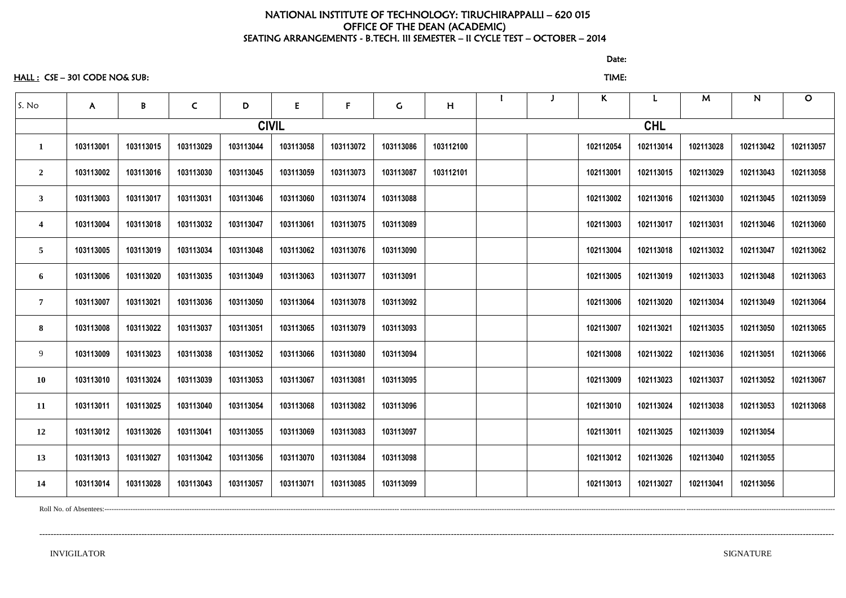### NATIONAL INSTITUTE OF TECHNOLOGY: TIRUCHIRAPPALLI – 620 015 OFFICE OF THE DEAN (ACADEMIC) SEATING ARRANGEMENTS - B.TECH. III SEMESTER – II CYCLE TEST – OCTOBER – 2014

HALL : CSE – 301 CODE NO& SUB: TIME:

discussion of the contract of the contract of the contract of the contract of the contract of the contract of the contract of the contract of the contract of the contract of the contract of the contract of the contract of

| S. No                   | $\mathsf{A}$ | B         | $\mathsf{C}$ | D         | E            | $\mathbf{F}$ | $\mathsf C$ | H         |  | $\mathsf{K}$ |            | M         | ${\bf N}$ | $\mathbf O$ |
|-------------------------|--------------|-----------|--------------|-----------|--------------|--------------|-------------|-----------|--|--------------|------------|-----------|-----------|-------------|
|                         |              |           |              |           | <b>CIVIL</b> |              |             |           |  |              | <b>CHL</b> |           |           |             |
|                         | 103113001    | 103113015 | 103113029    | 103113044 | 103113058    | 103113072    | 103113086   | 103112100 |  | 102112054    | 102113014  | 102113028 | 102113042 | 102113057   |
| $\overline{2}$          | 103113002    | 103113016 | 103113030    | 103113045 | 103113059    | 103113073    | 103113087   | 103112101 |  | 102113001    | 102113015  | 102113029 | 102113043 | 102113058   |
| $\boldsymbol{3}$        | 103113003    | 103113017 | 103113031    | 103113046 | 103113060    | 103113074    | 103113088   |           |  | 102113002    | 102113016  | 102113030 | 102113045 | 102113059   |
| $\overline{\mathbf{4}}$ | 103113004    | 103113018 | 103113032    | 103113047 | 103113061    | 103113075    | 103113089   |           |  | 102113003    | 102113017  | 102113031 | 102113046 | 102113060   |
| 5                       | 103113005    | 103113019 | 103113034    | 103113048 | 103113062    | 103113076    | 103113090   |           |  | 102113004    | 102113018  | 102113032 | 102113047 | 102113062   |
| 6                       | 103113006    | 103113020 | 103113035    | 103113049 | 103113063    | 103113077    | 103113091   |           |  | 102113005    | 102113019  | 102113033 | 102113048 | 102113063   |
| $\overline{7}$          | 103113007    | 103113021 | 103113036    | 103113050 | 103113064    | 103113078    | 103113092   |           |  | 102113006    | 102113020  | 102113034 | 102113049 | 102113064   |
| 8                       | 103113008    | 103113022 | 103113037    | 103113051 | 103113065    | 103113079    | 103113093   |           |  | 102113007    | 102113021  | 102113035 | 102113050 | 102113065   |
| 9                       | 103113009    | 103113023 | 103113038    | 103113052 | 103113066    | 103113080    | 103113094   |           |  | 102113008    | 102113022  | 102113036 | 102113051 | 102113066   |
| <b>10</b>               | 103113010    | 103113024 | 103113039    | 103113053 | 103113067    | 103113081    | 103113095   |           |  | 102113009    | 102113023  | 102113037 | 102113052 | 102113067   |
| 11                      | 103113011    | 103113025 | 103113040    | 103113054 | 103113068    | 103113082    | 103113096   |           |  | 102113010    | 102113024  | 102113038 | 102113053 | 102113068   |
| 12                      | 103113012    | 103113026 | 103113041    | 103113055 | 103113069    | 103113083    | 103113097   |           |  | 102113011    | 102113025  | 102113039 | 102113054 |             |
| 13                      | 103113013    | 103113027 | 103113042    | 103113056 | 103113070    | 103113084    | 103113098   |           |  | 102113012    | 102113026  | 102113040 | 102113055 |             |
| 14                      | 103113014    | 103113028 | 103113043    | 103113057 | 103113071    | 103113085    | 103113099   |           |  | 102113013    | 102113027  | 102113041 | 102113056 |             |

----------------------------------------------------------------------------------------------------------------------------------------------------------------------------------------------------------------------------------------------------------------------------------------

Roll No. of Absentees:-----------------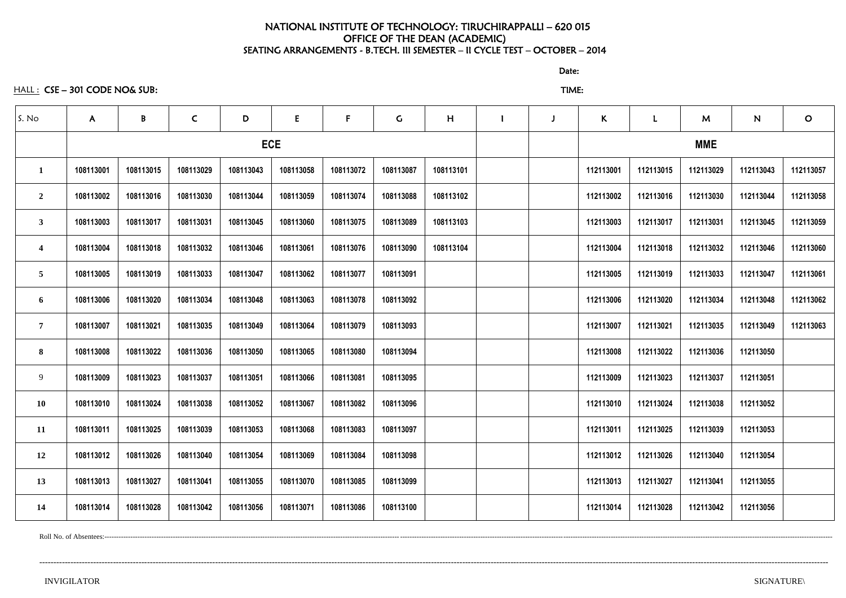### NATIONAL INSTITUTE OF TECHNOLOGY: TIRUCHIRAPPALLI – 620 015 OFFICE OF THE DEAN (ACADEMIC) SEATING ARRANGEMENTS - B.TECH. III SEMESTER – II CYCLE TEST – OCTOBER – 2014

HALL : CSE – 301 CODE NO& SUB: TIME:

| S. No                   | $\mathsf{A}$ | B         | $\mathsf{C}$                                                                                                                                                                                                                                                                                                                                                                                                                                                                                                                          | D         | E         | $\mathsf{F}$ | $\mathsf C$ | H         | J | K          |           | M         | N         | $\mathbf O$ |  |  |
|-------------------------|--------------|-----------|---------------------------------------------------------------------------------------------------------------------------------------------------------------------------------------------------------------------------------------------------------------------------------------------------------------------------------------------------------------------------------------------------------------------------------------------------------------------------------------------------------------------------------------|-----------|-----------|--------------|-------------|-----------|---|------------|-----------|-----------|-----------|-------------|--|--|
|                         |              |           | <b>ECE</b><br>108113029<br>108113043<br>108113058<br>108113030<br>108113044<br>108113059<br>108113031<br>108113045<br>108113060<br>108113032<br>108113046<br>108113061<br>108113033<br>108113047<br>108113062<br>108113034<br>108113048<br>108113063<br>108113035<br>108113049<br>108113064<br>108113065<br>108113036<br>108113050<br>108113037<br>108113051<br>108113066<br>108113038<br>108113052<br>108113067<br>108113039<br>108113053<br>108113068<br>108113054<br>108113069<br>108113040<br>108113041<br>108113055<br>108113070 |           |           |              |             |           |   | <b>MME</b> |           |           |           |             |  |  |
| $\mathbf{1}$            | 108113001    | 108113015 |                                                                                                                                                                                                                                                                                                                                                                                                                                                                                                                                       |           |           | 108113072    | 108113087   | 108113101 |   | 112113001  | 112113015 | 112113029 | 112113043 | 112113057   |  |  |
| $\overline{2}$          | 108113002    | 108113016 |                                                                                                                                                                                                                                                                                                                                                                                                                                                                                                                                       |           |           | 108113074    | 108113088   | 108113102 |   | 112113002  | 112113016 | 112113030 | 112113044 | 112113058   |  |  |
| $\mathbf{3}$            | 108113003    | 108113017 |                                                                                                                                                                                                                                                                                                                                                                                                                                                                                                                                       |           |           | 108113075    | 108113089   | 108113103 |   | 112113003  | 112113017 | 112113031 | 112113045 | 112113059   |  |  |
| $\overline{\mathbf{4}}$ | 108113004    | 108113018 |                                                                                                                                                                                                                                                                                                                                                                                                                                                                                                                                       |           |           | 108113076    | 108113090   | 108113104 |   | 112113004  | 112113018 | 112113032 | 112113046 | 112113060   |  |  |
| 5                       | 108113005    | 108113019 |                                                                                                                                                                                                                                                                                                                                                                                                                                                                                                                                       |           |           | 108113077    | 108113091   |           |   | 112113005  | 112113019 | 112113033 | 112113047 | 112113061   |  |  |
| 6                       | 108113006    | 108113020 |                                                                                                                                                                                                                                                                                                                                                                                                                                                                                                                                       |           |           | 108113078    | 108113092   |           |   | 112113006  | 112113020 | 112113034 | 112113048 | 112113062   |  |  |
| $\overline{7}$          | 108113007    | 108113021 |                                                                                                                                                                                                                                                                                                                                                                                                                                                                                                                                       |           |           | 108113079    | 108113093   |           |   | 112113007  | 112113021 | 112113035 | 112113049 | 112113063   |  |  |
| 8                       | 108113008    | 108113022 |                                                                                                                                                                                                                                                                                                                                                                                                                                                                                                                                       |           |           | 108113080    | 108113094   |           |   | 112113008  | 112113022 | 112113036 | 112113050 |             |  |  |
| 9                       | 108113009    | 108113023 |                                                                                                                                                                                                                                                                                                                                                                                                                                                                                                                                       |           |           | 108113081    | 108113095   |           |   | 112113009  | 112113023 | 112113037 | 112113051 |             |  |  |
| <b>10</b>               | 108113010    | 108113024 |                                                                                                                                                                                                                                                                                                                                                                                                                                                                                                                                       |           |           | 108113082    | 108113096   |           |   | 112113010  | 112113024 | 112113038 | 112113052 |             |  |  |
| 11                      | 108113011    | 108113025 |                                                                                                                                                                                                                                                                                                                                                                                                                                                                                                                                       |           |           | 108113083    | 108113097   |           |   | 112113011  | 112113025 | 112113039 | 112113053 |             |  |  |
| 12                      | 108113012    | 108113026 |                                                                                                                                                                                                                                                                                                                                                                                                                                                                                                                                       |           |           | 108113084    | 108113098   |           |   | 112113012  | 112113026 | 112113040 | 112113054 |             |  |  |
| 13                      | 108113013    | 108113027 |                                                                                                                                                                                                                                                                                                                                                                                                                                                                                                                                       |           |           | 108113085    | 108113099   |           |   | 112113013  | 112113027 | 112113041 | 112113055 |             |  |  |
| 14                      | 108113014    | 108113028 | 108113042                                                                                                                                                                                                                                                                                                                                                                                                                                                                                                                             | 108113056 | 108113071 | 108113086    | 108113100   |           |   | 112113014  | 112113028 | 112113042 | 112113056 |             |  |  |

Roll No. of Absentees:--------------------------------------------------------------------------------------------------------------------------------------------------------------------------------------------------------------------------------------------------------------------------------------------------------------------

--------------------------------------------------------------------------------------------------------------------------------------------------------------------------------------------------------------------------------------------------------------------------------------

discussion of the contract of the contract of the Date: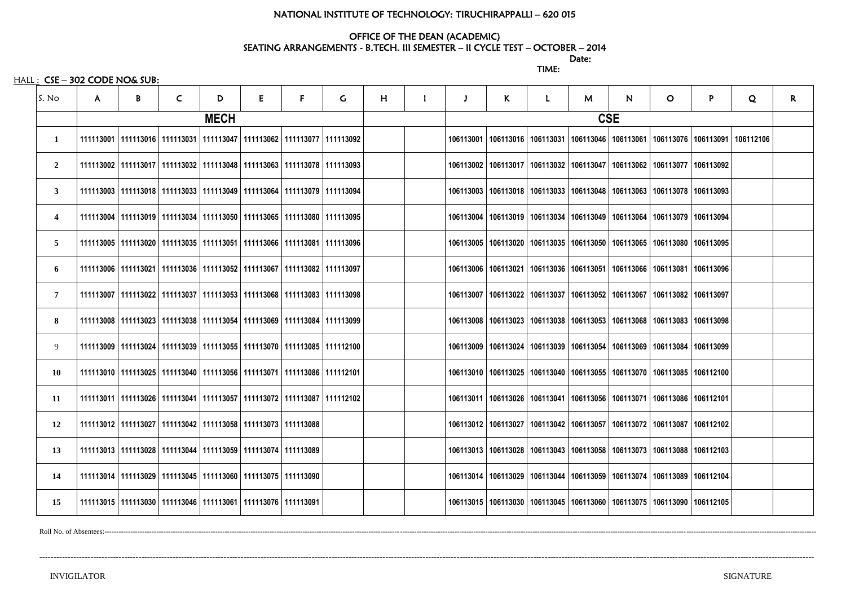### NATIONAL INSTITUTE OF TECHNOLOGY: TIRUCHIRAPPALLI – 620 015

# OFFICE OF THE DEAN (ACADEMIC)

discussion of the contract of the contract of the Date: TIME:

HALL : CSE - 302 CODE NO& SUB:

SEATING ARRANGEMENTS - B.TECH. III SEMESTER – II CYCLE TEST – OCTOBER – 2014

| S. No          | A | B | $\mathsf{C}$ | D           | E                                                                                 | F. | G | H |  | K | L.                                                                                            | M | N.         | O. | P | Q | R. |
|----------------|---|---|--------------|-------------|-----------------------------------------------------------------------------------|----|---|---|--|---|-----------------------------------------------------------------------------------------------|---|------------|----|---|---|----|
|                |   |   |              | <b>MECH</b> |                                                                                   |    |   |   |  |   |                                                                                               |   | <b>CSE</b> |    |   |   |    |
| 1              |   |   |              |             | 111113001   111113016   111113031   111113047   111113062   111113077   111113092 |    |   |   |  |   | 106113001   106113016   106113031   106113046   106113061   106113076   106113091   106112106 |   |            |    |   |   |    |
| $\overline{2}$ |   |   |              |             | 111113002   111113017   111113032   111113048   111113063   111113078   111113093 |    |   |   |  |   | 106113002   106113017   106113032   106113047   106113062   106113077   106113092             |   |            |    |   |   |    |
| $\mathbf{3}$   |   |   |              |             | 111113003   111113018   111113033   111113049   111113064   111113079   111113094 |    |   |   |  |   | 106113003   106113018   106113033   106113048   106113063   106113078   106113093             |   |            |    |   |   |    |
| $\overline{4}$ |   |   |              |             | 111113004   111113019   111113034   111113050   111113065   111113080   111113095 |    |   |   |  |   | 106113004   106113019   106113034   106113049   106113064   106113079   106113094             |   |            |    |   |   |    |
| 5 <sup>5</sup> |   |   |              |             | 111113005   111113020   111113035   111113051   111113066   111113081   111113096 |    |   |   |  |   | 106113005   106113020   106113035   106113050   106113065   106113080   106113095             |   |            |    |   |   |    |
| 6              |   |   |              |             | 111113006   111113021   111113036   111113052   111113067   111113082   111113097 |    |   |   |  |   | 106113006   106113021   106113036   106113051   106113066   106113081   106113096             |   |            |    |   |   |    |
| $\overline{7}$ |   |   |              |             | 111113007   111113022   111113037   111113053   111113068   111113083   111113098 |    |   |   |  |   | 106113007   106113022   106113037   106113052   106113067   106113082   106113097             |   |            |    |   |   |    |
| 8              |   |   |              |             | 111113008   111113023   111113038   111113054   111113069   111113084   111113099 |    |   |   |  |   | 106113008   106113023   106113038   106113053   106113068   106113083   106113098             |   |            |    |   |   |    |
| 9              |   |   |              |             | 111113009   111113024   111113039   111113055   111113070   111113085   111112100 |    |   |   |  |   | 106113009   106113024   106113039   106113054   106113069   106113084   106113099             |   |            |    |   |   |    |
| 10             |   |   |              |             | 111113010   111113025   111113040   111113056   111113071   111113086   111112101 |    |   |   |  |   | 106113010   106113025   106113040   106113055   106113070   106113085   106112100             |   |            |    |   |   |    |
| 11             |   |   |              |             | 111113011   111113026   111113041   111113057   111113072   111113087   111112102 |    |   |   |  |   | 106113011   106113026   106113041   106113056   106113071   106113086   106112101             |   |            |    |   |   |    |
| <b>12</b>      |   |   |              |             | 111113012   111113027   111113042   111113058   111113073   111113088             |    |   |   |  |   | 106113012   106113027   106113042   106113057   106113072   106113087   106112102             |   |            |    |   |   |    |
| 13             |   |   |              |             | 111113013   111113028   111113044   111113059   111113074   111113089             |    |   |   |  |   | 106113013   106113028   106113043   106113058   106113073   106113088   106112103             |   |            |    |   |   |    |
| 14             |   |   |              |             | 111113014   111113029   111113045   111113060   111113075   111113090             |    |   |   |  |   | 106113014   106113029   106113044   106113059   106113074   106113089   106112104             |   |            |    |   |   |    |
| 15             |   |   |              |             | 111113015   111113030   111113046   111113061   111113076   111113091             |    |   |   |  |   | 106113015   106113030   106113045   106113060   106113075   106113090   106112105             |   |            |    |   |   |    |

Roll No. of Absentees:-------------------------------------------------------------------------------------------------------------------------------------------------------------------------------------------------------------------------------------------------------------------------------------------------------------

---------------------------------------------------------------------------------------------------------------------------------------------------------------------------------------------------------------------------------------------------------------------------------

| <b>SIGNATURI</b> |  |
|------------------|--|